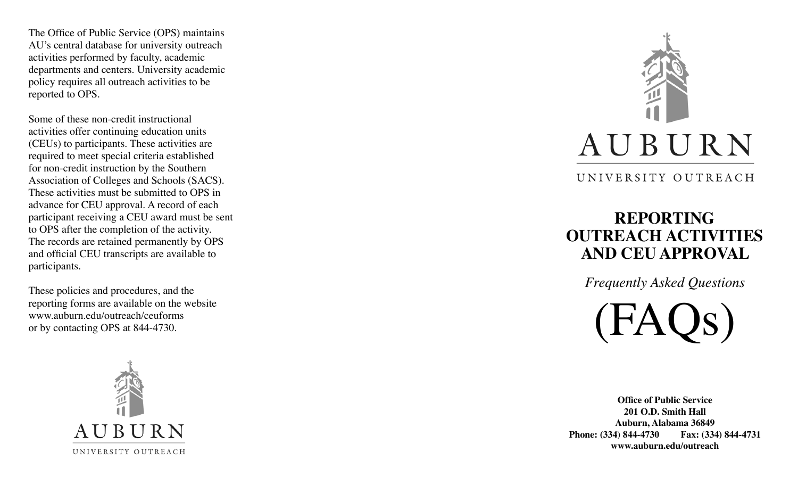The Office of Public Service (OPS) maintains AU's central database for university outreach activities performed by faculty, academic departments and centers. University academic policy requires all outreach activities to be reported to OPS.

Some of these non-credit instructional activities offer continuing education units (CEUs) to participants. These activities are required to meet special criteria established for non-credit instruction by the Southern Association of Colleges and Schools (SACS). These activities must be submitted to OPS in advance for CEU approval. A record of each participant receiving a CEU award must be sent to OPS after the completion of the activity. The records are retained permanently by OPS and official CEU transcripts are available to participants.

These policies and procedures, and the reporting forms are available on the website www.auburn.edu/outreach/ceuforms or by contacting OPS at 844-4730.





UNIVERSITY OUTREACH

# **REPORTING OUTREACH ACTIVITIES AND CEU APPROVAL**

*Frequently Asked Questions*

(FAQs)

**Office of Public Service 201 O.D. Smith Hall Auburn, Alabama 36849 Phone: (334) 844-4730 Fax: (334) 844-4731 www.auburn.edu/outreach**